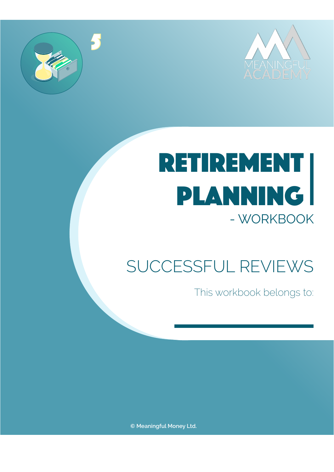



# retirement planning - WORKBOOK

### SUCCESSFUL REVIEWS

This workbook belongs to:

**© Meaningful Money Ltd.**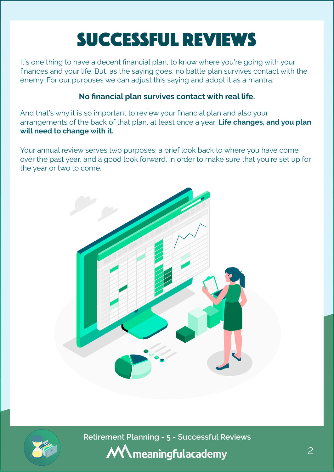## Successful Reviews

It's one thing to have a decent financial plan, to know where you're going with your finances and your life. But, as the saying goes, no battle plan survives contact with the enemy. For our purposes we can adjust this saying and adopt it as a mantra:

#### **No financial plan survives contact with real life.**

And that's why it is so important to review your financial plan and also your arrangements of the back of that plan, at least once a year. **Life changes, and you plan will need to change with it.**

Your annual review serves two purposes: a brief look back to where you have come over the past year, and a good look forward, in order to make sure that you're set up for the year or two to come.





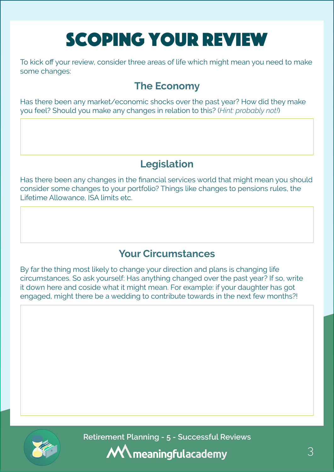## Scoping your review

To kick off your review, consider three areas of life which might mean you need to make some changes:

### **The Economy**

Has there been any market/economic shocks over the past year? How did they make you feel? Should you make any changes in relation to this? (*Hint: probably not!*)

### **Legislation**

Has there been any changes in the financial services world that might mean you should consider some changes to your portfolio? Things like changes to pensions rules, the Lifetime Allowance, ISA limits etc.

### **Your Circumstances**

By far the thing most likely to change your direction and plans is changing life circumstances. So ask yourself: Has anything changed over the past year? If so, write it down here and coside what it might mean. For example: if your daughter has got engaged, might there be a wedding to contribute towards in the next few months?!



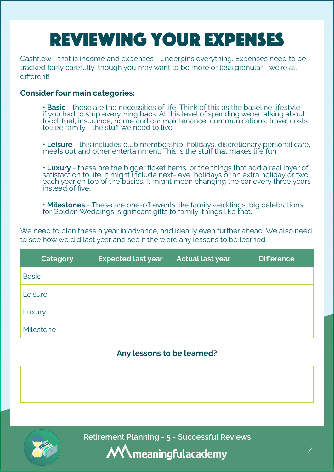## Reviewing your expenses

Cashflow - that is income and expenses - underpins everything. Expenses need to be tracked fairly carefully, though you may want to be more or less granular - we're all different<sup>1</sup>

#### **Consider four main categories:**

**• Basic** - these are the necessities of life. Think of this as the baseline lifestyle if you had to strip everything back. At this level of spending we're talking about food, fuel, insurance, home and car maintenance, communications, travel costs to see family - the stuff we need to live.

**• Leisure** - this includes club membership, holidays, discretionary personal care, meals out and other entertainment. This is the stuff that makes life fun.

**• Luxury** - these are the bigger ticket items, or the things that add a real layer of satisfaction to life. It might include next-level holidays or an extra holiday or two each year on top of the basics. It might mean changing the car every three years instead of five.

**• Milestones** - These are one-off events like family weddings, big celebrations for Golden Weddings, significant gifts to family, things like that.

We need to plan these a year in advance, and ideally even further ahead. We also need to see how we did last year and see if there are any lessons to be learned.

| Category     | <b>Expected last year</b> | <b>Actual last year</b> | <b>Difference</b> |
|--------------|---------------------------|-------------------------|-------------------|
| <b>Basic</b> |                           |                         |                   |
| Leisure      |                           |                         |                   |
| Luxury       |                           |                         |                   |
| Milestone    |                           |                         |                   |

#### **Any lessons to be learned?**



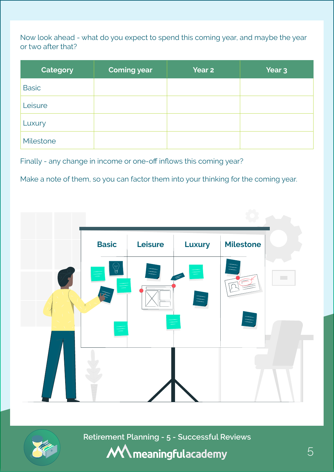Now look ahead - what do you expect to spend this coming year, and maybe the year or two after that?

| <b>Category</b> | <b>Coming year</b> | Year <sub>2</sub> | Year <sub>3</sub> |
|-----------------|--------------------|-------------------|-------------------|
| <b>Basic</b>    |                    |                   |                   |
| Leisure         |                    |                   |                   |
| Luxury          |                    |                   |                   |
| Milestone       |                    |                   |                   |

Finally - any change in income or one-off inflows this coming year?

Make a note of them, so you can factor them into your thinking for the coming year.





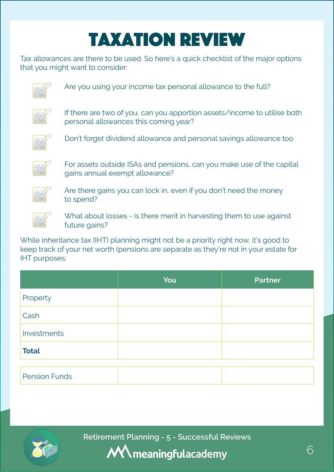## Taxation Review

Tax allowances are there to be used. So here's a quick checklist of the major options that you might want to consider:



Are you using your income tax personal allowance to the full?



If there are two of you, can you apportion assets/income to utilise both personal allowances this coming year?



Don't forget dividend allowance and personal savings allowance too



For assets outside ISAs and pensions, can you make use of the capital gains annual exempt allowance?



Are there gains you can lock in, even if you don't need the money to spend?



What about losses - is there merit in harvesting them to use against future gains?

While inheritance tax (IHT) planning might not be a priority right now, it's good to keep track of your net worth (pensions are separate as they're not in your estate for IHT purposes:

|                      | You | <b>Partner</b> |
|----------------------|-----|----------------|
| Property             |     |                |
| Cash                 |     |                |
| Investments          |     |                |
| <b>Total</b>         |     |                |
|                      |     |                |
| <b>Pension Funds</b> |     |                |



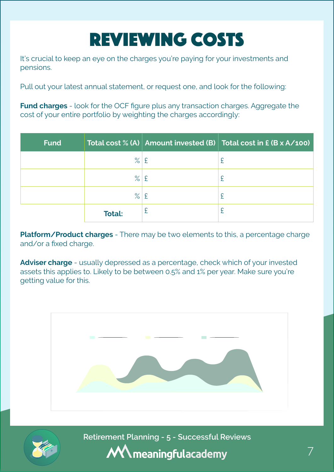## Reviewing Costs

It's crucial to keep an eye on the charges you're paying for your investments and pensions.

Pull out your latest annual statement, or request one, and look for the following:

**Fund charges** - look for the OCF figure plus any transaction charges. Aggregate the cost of your entire portfolio by weighting the charges accordingly:

| <b>Fund</b> |               |   | Total cost % (A) Amount invested (B) Total cost in £ (B x A/100) |
|-------------|---------------|---|------------------------------------------------------------------|
|             | $\%$ £        |   | £                                                                |
|             | $\%$ £        |   | £                                                                |
|             | $\%$ £        |   | £                                                                |
|             | <b>Total:</b> | £ | £                                                                |

**Platform/Product charges** - There may be two elements to this, a percentage charge and/or a fixed charge.

**Adviser charge** - usually depressed as a percentage, check which of your invested assets this applies to. Likely to be between 0.5% and 1% per year. Make sure you're getting value for this.